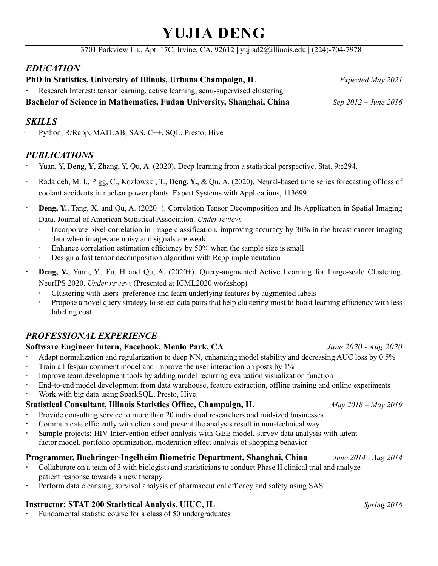# **YUJIA DENG**

3701 Parkview Ln., Apt. 17C, Irvine, CA, 92612 **|** yujiad2@illinois.edu **|** (224)-704-7978

# *EDUCATION*

**PhD in Statistics, University of Illinois, Urbana Champaign, IL** *Expected May 2021*

Research Interest**:** tensor learning, active learning, semi-supervised clustering

**Bachelor of Science in Mathematics, Fudan University, Shanghai, China** *Sep 2012 – June 2016*

### *SKILLS*

Python, R/Rcpp, MATLAB, SAS, C++, SQL, Presto, Hive

## *PUBLICATIONS*

- Yuan, Y, **Deng, Y**, Zhang, Y, Qu, A. (2020). Deep learning from a statistical perspective. Stat. 9:e294.
- Radaideh, M. I., Pigg, C., Kozlowski, T., **Deng, Y.**, & Qu, A. (2020). Neural-based time series forecasting of loss of coolant accidents in nuclear power plants. Expert Systems with Applications, 113699.
- **Deng, Y.**, Tang, X. and Qu, A. (2020+). Correlation Tensor Decomposition and Its Application in Spatial Imaging Data. Journal of American Statistical Association. *Under review.*
	- Incorporate pixel correlation in image classification, improving accuracy by 30% in the breast cancer imaging data when images are noisy and signals are weak
	- Enhance correlation estimation efficiency by 50% when the sample size is small
	- Design a fast tensor decomposition algorithm with Rcpp implementation
- **Deng, Y.**, Yuan, Y., Fu, H and Qu, A. (2020+). Query-augmented Active Learning for Large-scale Clustering. NeurIPS 2020. *Under review.* (Presented at ICML2020 workshop)
	- Clustering with users' preference and learn underlying features by augmented labels
	- Propose a novel query strategy to select data pairs that help clustering most to boost learning efficiency with less labeling cost

# *PROFESSIONAL EXPERIENCE*

#### **Software Engineer Intern, Facebook, Menlo Park, CA** *June 2020 - Aug 2020*

- Adapt normalization and regularization to deep NN, enhancing model stability and decreasing AUC loss by 0.5%
- Train a lifespan comment model and improve the user interaction on posts by 1%
- Improve team development tools by adding model recurring evaluation visualization function
- End-to-end model development from data warehouse, feature extraction, offline training and online experiments
- Work with big data using SparkSQL, Presto, Hive.

# **Statistical Consultant, Illinois Statistics Office, Champaign, IL** *May 2018 – May 2019*

- Provide consulting service to more than 20 individual researchers and midsized businesses
- Communicate efficiently with clients and present the analysis result in non-technical way
- Sample projects: HIV Intervention effect analysis with GEE model, survey data analysis with latent factor model, portfolio optimization, moderation effect analysis of shopping behavior

# **Programmer, Boehringer-Ingelheim Biometric Department, Shanghai, China** *June 2014 - Aug 2014*

- Collaborate on a team of 3 with biologists and statisticians to conduct Phase II clinical trial and analyze patient response towards a new therapy
- Perform data cleansing, survival analysis of pharmaceutical efficacy and safety using SAS

# **Instructor: STAT 200 Statistical Analysis, UIUC, IL** *Spring 2018*

Fundamental statistic course for a class of 50 undergraduates